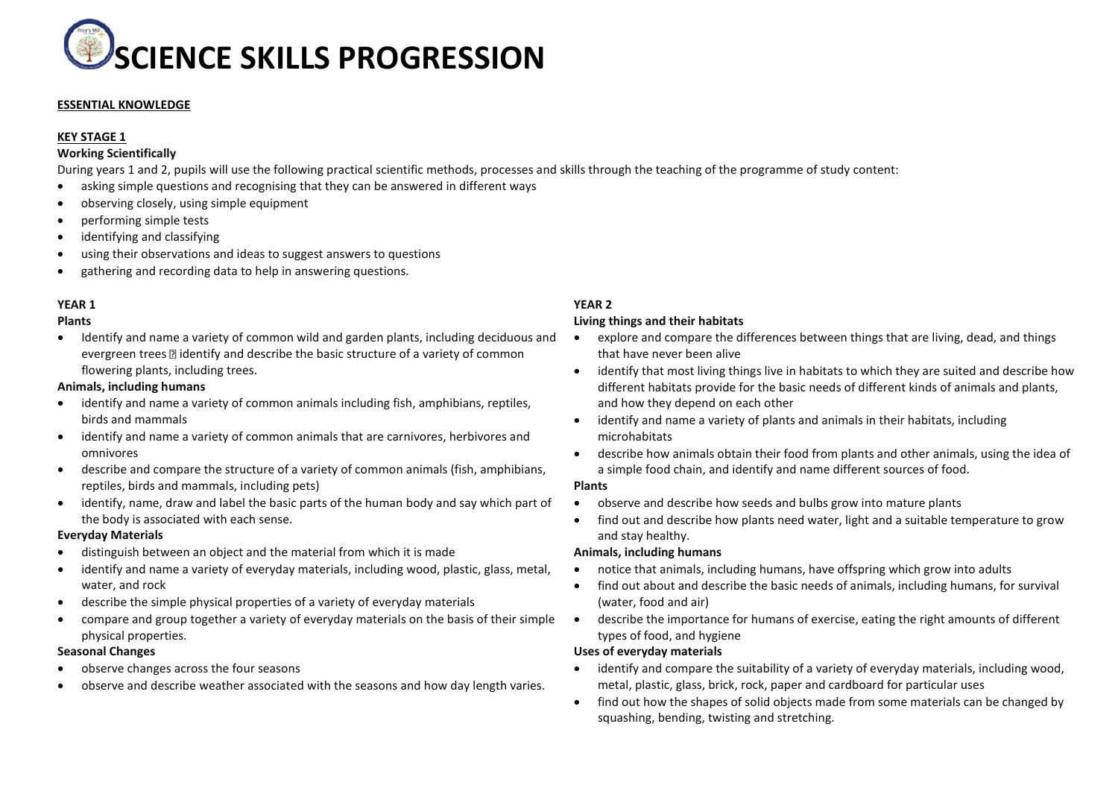

# **ESSENTIAL KNOWLEDGE**

#### **KEY STAGE 1**

#### **Working Scientifically**

During years 1 and 2, pupils will use the following practical scientific methods, processes and skills through the teaching of the programme of study content:

- asking simple questions and recognising that they can be answered in different ways
- observing closely, using simple equipment
- performing simple tests
- identifying and classifying
- using their observations and ideas to suggest answers to questions
- gathering and recording data to help in answering questions.

# **YEAR 1**

# **Plants**

• Identify and name a variety of common wild and garden plants, including deciduous and evergreen trees  $\mathbb B$  identify and describe the basic structure of a variety of common flowering plants, including trees.

### **Animals, including humans**

- identify and name a variety of common animals including fish, amphibians, reptiles, birds and mammals
- identify and name a variety of common animals that are carnivores, herbivores and omnivores
- describe and compare the structure of a variety of common animals (fish, amphibians, reptiles, birds and mammals, including pets)
- identify, name, draw and label the basic parts of the human body and say which part of the body is associated with each sense.

#### **Everyday Materials**

- distinguish between an object and the material from which it is made
- identify and name a variety of everyday materials, including wood, plastic, glass, metal, water, and rock
- describe the simple physical properties of a variety of everyday materials
- compare and group together a variety of everyday materials on the basis of their simple physical properties.

#### **Seasonal Changes**

- observe changes across the four seasons
- observe and describe weather associated with the seasons and how day length varies.

# **YEAR 2**

# **Living things and their habitats**

- explore and compare the differences between things that are living, dead, and things that have never been alive
- identify that most living things live in habitats to which they are suited and describe how different habitats provide for the basic needs of different kinds of animals and plants, and how they depend on each other
- identify and name a variety of plants and animals in their habitats, including microhabitats
- describe how animals obtain their food from plants and other animals, using the idea of a simple food chain, and identify and name different sources of food.

#### **Plants**

- observe and describe how seeds and bulbs grow into mature plants
- find out and describe how plants need water, light and a suitable temperature to grow and stay healthy.

#### **Animals, including humans**

- notice that animals, including humans, have offspring which grow into adults
- find out about and describe the basic needs of animals, including humans, for survival (water, food and air)
- describe the importance for humans of exercise, eating the right amounts of different types of food, and hygiene

# **Uses of everyday materials**

- identify and compare the suitability of a variety of everyday materials, including wood, metal, plastic, glass, brick, rock, paper and cardboard for particular uses
- find out how the shapes of solid objects made from some materials can be changed by squashing, bending, twisting and stretching.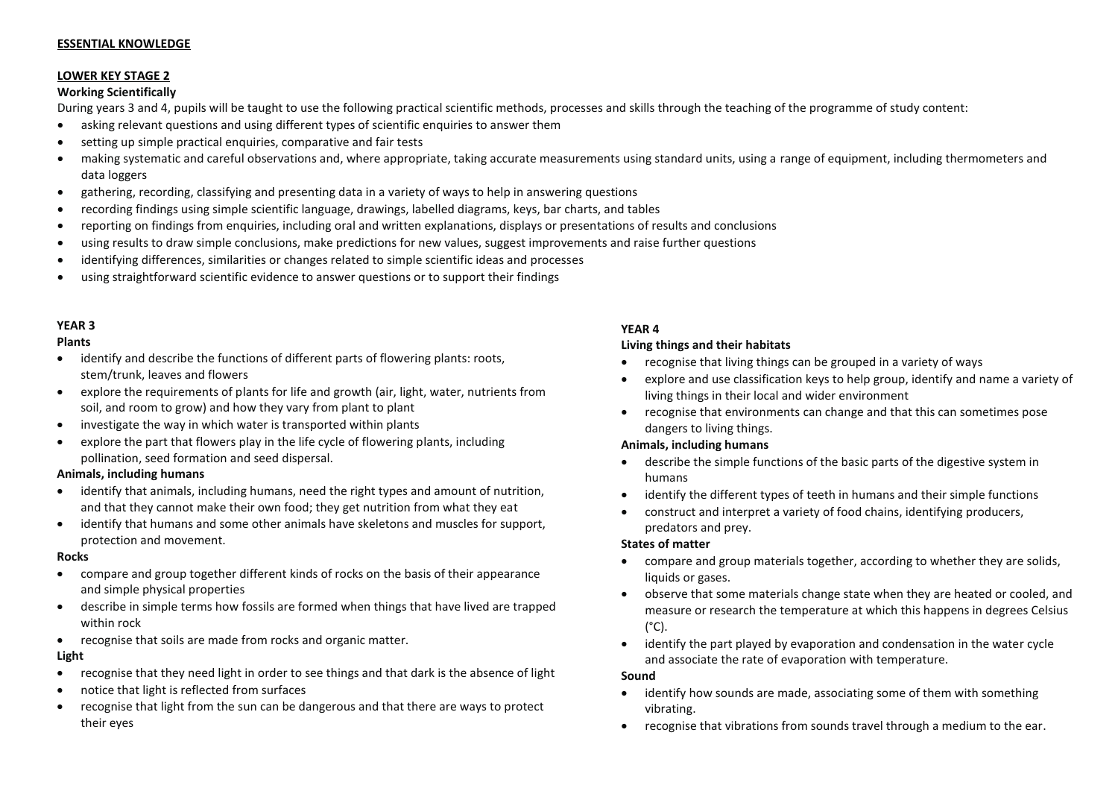### **ESSENTIAL KNOWLEDGE**

### **LOWER KEY STAGE 2**

### **Working Scientifically**

During years 3 and 4, pupils will be taught to use the following practical scientific methods, processes and skills through the teaching of the programme of study content:

- asking relevant questions and using different types of scientific enquiries to answer them
- setting up simple practical enquiries, comparative and fair tests
- making systematic and careful observations and, where appropriate, taking accurate measurements using standard units, using a range of equipment, including thermometers and data loggers
- gathering, recording, classifying and presenting data in a variety of ways to help in answering questions
- recording findings using simple scientific language, drawings, labelled diagrams, keys, bar charts, and tables
- reporting on findings from enquiries, including oral and written explanations, displays or presentations of results and conclusions
- using results to draw simple conclusions, make predictions for new values, suggest improvements and raise further questions
- identifying differences, similarities or changes related to simple scientific ideas and processes
- using straightforward scientific evidence to answer questions or to support their findings

# **YEAR 3**

### **Plants**

- identify and describe the functions of different parts of flowering plants: roots, stem/trunk, leaves and flowers
- explore the requirements of plants for life and growth (air, light, water, nutrients from soil, and room to grow) and how they vary from plant to plant
- investigate the way in which water is transported within plants
- explore the part that flowers play in the life cycle of flowering plants, including pollination, seed formation and seed dispersal.

#### **Animals, including humans**

- identify that animals, including humans, need the right types and amount of nutrition, and that they cannot make their own food; they get nutrition from what they eat
- identify that humans and some other animals have skeletons and muscles for support, protection and movement.

#### **Rocks**

- compare and group together different kinds of rocks on the basis of their appearance and simple physical properties
- describe in simple terms how fossils are formed when things that have lived are trapped within rock
- recognise that soils are made from rocks and organic matter.

# **Light**

- recognise that they need light in order to see things and that dark is the absence of light
- notice that light is reflected from surfaces
- recognise that light from the sun can be dangerous and that there are ways to protect their eyes

# **YEAR 4**

### **Living things and their habitats**

- recognise that living things can be grouped in a variety of ways
- explore and use classification keys to help group, identify and name a variety of living things in their local and wider environment
- recognise that environments can change and that this can sometimes pose dangers to living things.

#### **Animals, including humans**

- describe the simple functions of the basic parts of the digestive system in humans
- identify the different types of teeth in humans and their simple functions
- construct and interpret a variety of food chains, identifying producers, predators and prey.

#### **States of matter**

- compare and group materials together, according to whether they are solids, liquids or gases.
- observe that some materials change state when they are heated or cooled, and measure or research the temperature at which this happens in degrees Celsius  $(^{\circ}C)$ .
- identify the part played by evaporation and condensation in the water cycle and associate the rate of evaporation with temperature.

#### **Sound**

- identify how sounds are made, associating some of them with something vibrating.
- recognise that vibrations from sounds travel through a medium to the ear.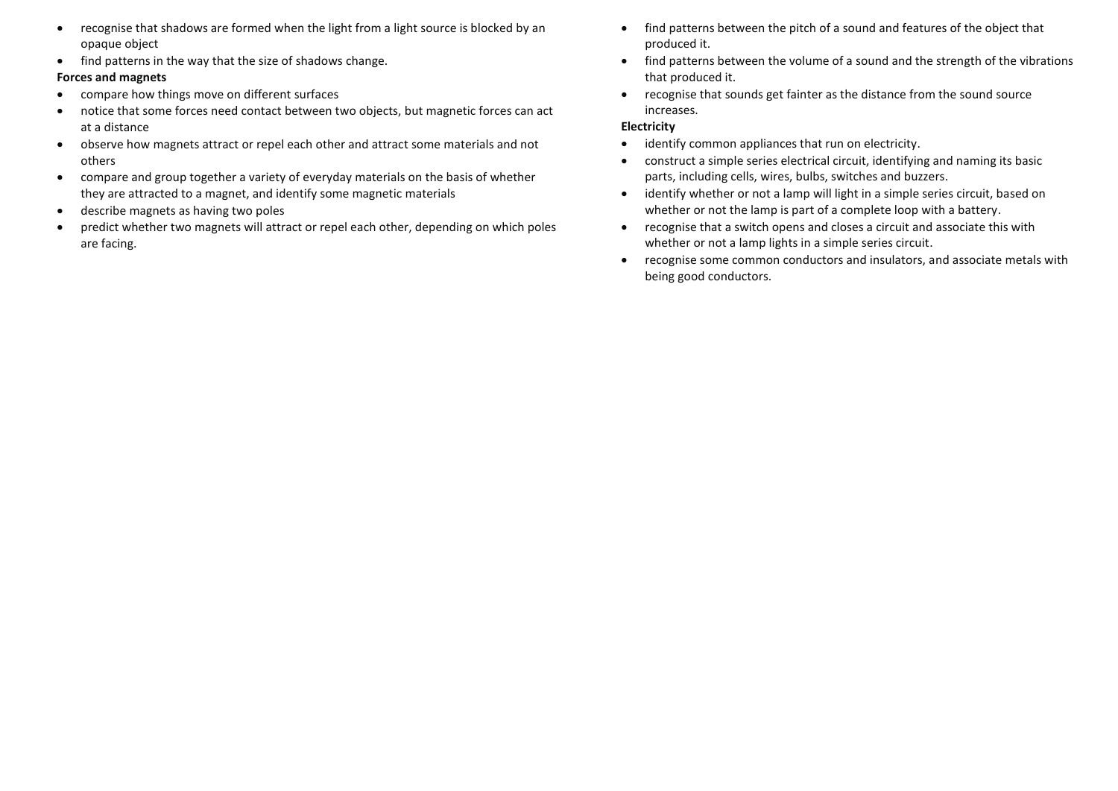- recognise that shadows are formed when the light from a light source is blocked by an opaque object
- find patterns in the way that the size of shadows change.

# **Forces and magnets**

- compare how things move on different surfaces
- notice that some forces need contact between two objects, but magnetic forces can act at a distance
- observe how magnets attract or repel each other and attract some materials and not others
- compare and group together a variety of everyday materials on the basis of whether they are attracted to a magnet, and identify some magnetic materials
- describe magnets as having two poles
- predict whether two magnets will attract or repel each other, depending on which poles are facing.
- find patterns between the pitch of a sound and features of the object that produced it.
- find patterns between the volume of a sound and the strength of the vibrations that produced it.
- recognise that sounds get fainter as the distance from the sound source increases.

# **Electricity**

- identify common appliances that run on electricity.
- construct a simple series electrical circuit, identifying and naming its basic parts, including cells, wires, bulbs, switches and buzzers.
- identify whether or not a lamp will light in a simple series circuit, based on whether or not the lamp is part of a complete loop with a battery.
- recognise that a switch opens and closes a circuit and associate this with whether or not a lamp lights in a simple series circuit.
- recognise some common conductors and insulators, and associate metals with being good conductors.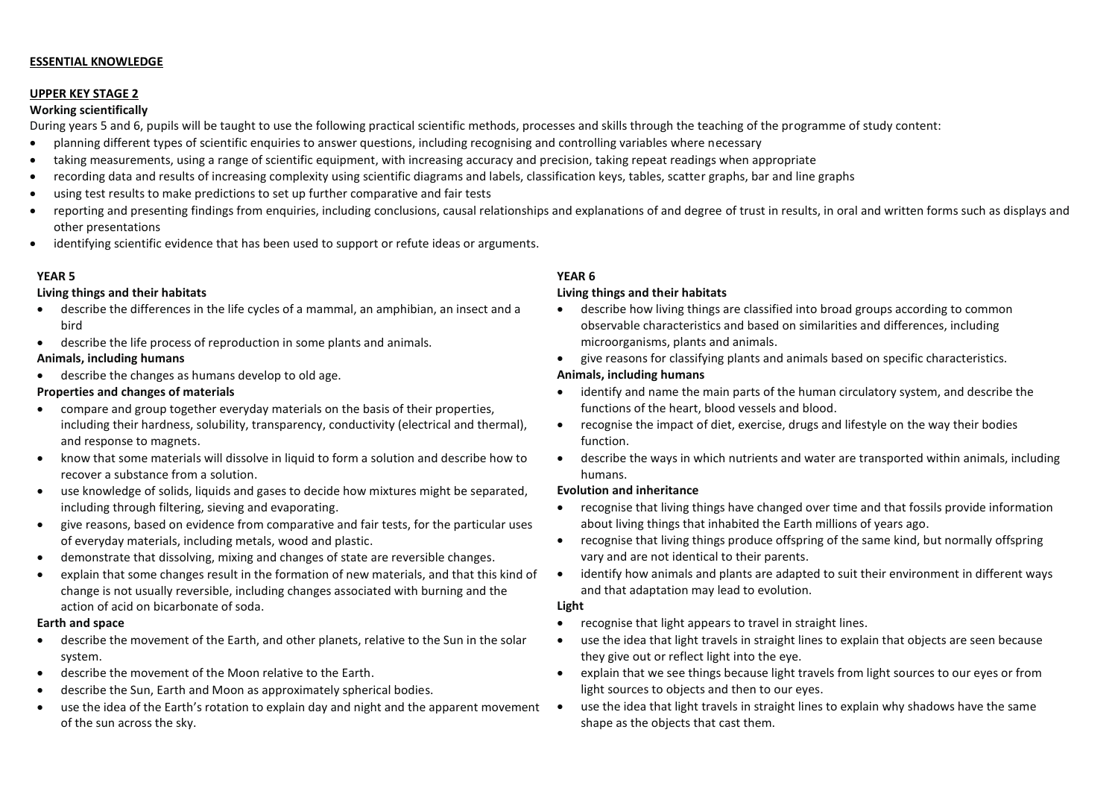### **ESSENTIAL KNOWLEDGE**

### **UPPER KEY STAGE 2**

# **Working scientifically**

During years 5 and 6, pupils will be taught to use the following practical scientific methods, processes and skills through the teaching of the programme of study content:

- planning different types of scientific enquiries to answer questions, including recognising and controlling variables where necessary
- taking measurements, using a range of scientific equipment, with increasing accuracy and precision, taking repeat readings when appropriate
- recording data and results of increasing complexity using scientific diagrams and labels, classification keys, tables, scatter graphs, bar and line graphs
- using test results to make predictions to set up further comparative and fair tests
- reporting and presenting findings from enquiries, including conclusions, causal relationships and explanations of and degree of trust in results, in oral and written forms such as displays and other presentations
- identifying scientific evidence that has been used to support or refute ideas or arguments.

# **YEAR 5**

# **Living things and their habitats**

- describe the differences in the life cycles of a mammal, an amphibian, an insect and a bird
- describe the life process of reproduction in some plants and animals. **Animals, including humans**
- describe the changes as humans develop to old age.

# **Properties and changes of materials**

- compare and group together everyday materials on the basis of their properties, including their hardness, solubility, transparency, conductivity (electrical and thermal), and response to magnets.
- know that some materials will dissolve in liquid to form a solution and describe how to recover a substance from a solution.
- use knowledge of solids, liquids and gases to decide how mixtures might be separated, including through filtering, sieving and evaporating.
- give reasons, based on evidence from comparative and fair tests, for the particular uses of everyday materials, including metals, wood and plastic.
- demonstrate that dissolving, mixing and changes of state are reversible changes.
- explain that some changes result in the formation of new materials, and that this kind of change is not usually reversible, including changes associated with burning and the action of acid on bicarbonate of soda.

# **Earth and space**

- describe the movement of the Earth, and other planets, relative to the Sun in the solar system.
- describe the movement of the Moon relative to the Earth.
- describe the Sun, Earth and Moon as approximately spherical bodies.
- use the idea of the Earth's rotation to explain day and night and the apparent movement of the sun across the sky.

# **YEAR 6**

# **Living things and their habitats**

- describe how living things are classified into broad groups according to common observable characteristics and based on similarities and differences, including microorganisms, plants and animals.
- give reasons for classifying plants and animals based on specific characteristics.

# **Animals, including humans**

- identify and name the main parts of the human circulatory system, and describe the functions of the heart, blood vessels and blood.
- recognise the impact of diet, exercise, drugs and lifestyle on the way their bodies function.
- describe the ways in which nutrients and water are transported within animals, including humans.

# **Evolution and inheritance**

- recognise that living things have changed over time and that fossils provide information about living things that inhabited the Earth millions of years ago.
- recognise that living things produce offspring of the same kind, but normally offspring vary and are not identical to their parents.
- identify how animals and plants are adapted to suit their environment in different ways and that adaptation may lead to evolution.

# **Light**

- recognise that light appears to travel in straight lines.
- use the idea that light travels in straight lines to explain that objects are seen because they give out or reflect light into the eye.
- explain that we see things because light travels from light sources to our eyes or from light sources to objects and then to our eyes.
- use the idea that light travels in straight lines to explain why shadows have the same shape as the objects that cast them.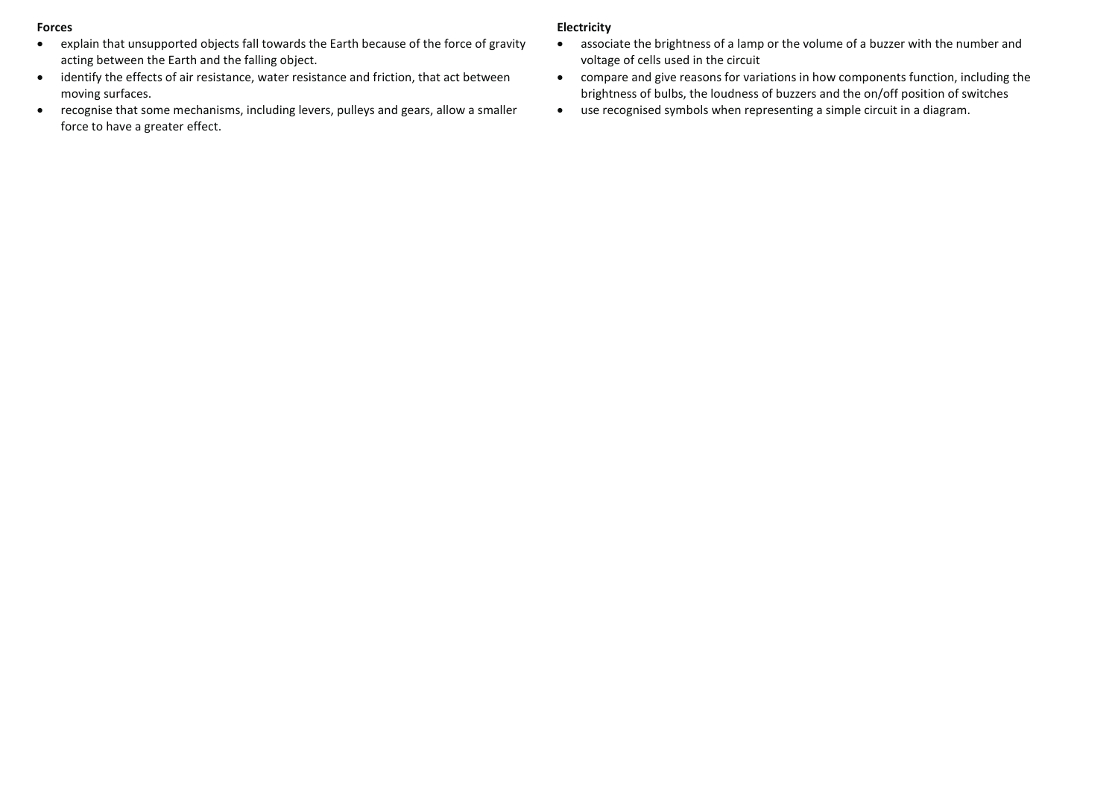#### **Forces**

- explain that unsupported objects fall towards the Earth because of the force of gravity acting between the Earth and the falling object.
- identify the effects of air resistance, water resistance and friction, that act between moving surfaces.
- recognise that some mechanisms, including levers, pulleys and gears, allow a smaller force to have a greater effect.

# **Electricity**

- associate the brightness of a lamp or the volume of a buzzer with the number and voltage of cells used in the circuit
- compare and give reasons for variations in how components function, including the brightness of bulbs, the loudness of buzzers and the on/off position of switches
- use recognised symbols when representing a simple circuit in a diagram.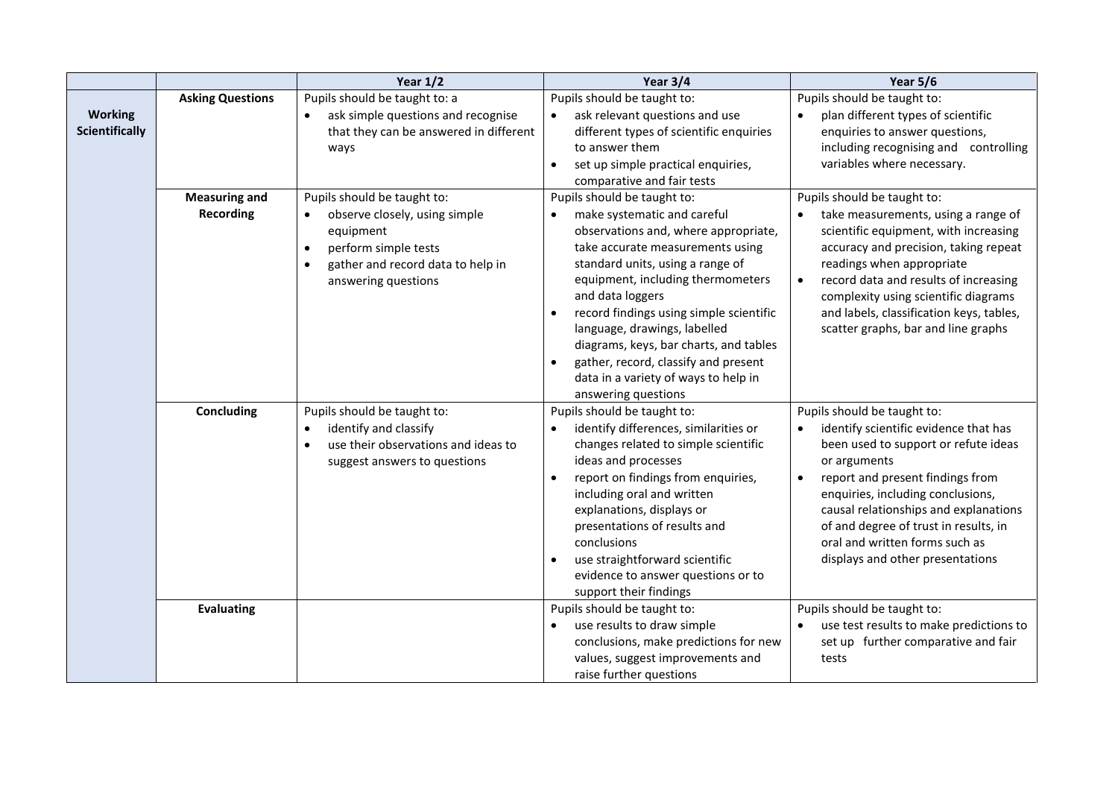|                                         |                                          | Year $1/2$                                                                                                                                                                                           | Year 3/4                                                                                                                                                                                                                                                                                                                                                                                                                                                        | <b>Year 5/6</b>                                                                                                                                                                                                                                                                                                                                                                 |
|-----------------------------------------|------------------------------------------|------------------------------------------------------------------------------------------------------------------------------------------------------------------------------------------------------|-----------------------------------------------------------------------------------------------------------------------------------------------------------------------------------------------------------------------------------------------------------------------------------------------------------------------------------------------------------------------------------------------------------------------------------------------------------------|---------------------------------------------------------------------------------------------------------------------------------------------------------------------------------------------------------------------------------------------------------------------------------------------------------------------------------------------------------------------------------|
| <b>Working</b><br><b>Scientifically</b> | <b>Asking Questions</b>                  | Pupils should be taught to: a<br>ask simple questions and recognise<br>that they can be answered in different<br>ways                                                                                | Pupils should be taught to:<br>ask relevant questions and use<br>different types of scientific enquiries<br>to answer them<br>set up simple practical enquiries,<br>$\bullet$<br>comparative and fair tests                                                                                                                                                                                                                                                     | Pupils should be taught to:<br>plan different types of scientific<br>$\bullet$<br>enquiries to answer questions,<br>including recognising and controlling<br>variables where necessary.                                                                                                                                                                                         |
|                                         | <b>Measuring and</b><br><b>Recording</b> | Pupils should be taught to:<br>observe closely, using simple<br>$\bullet$<br>equipment<br>perform simple tests<br>$\bullet$<br>gather and record data to help in<br>$\bullet$<br>answering questions | Pupils should be taught to:<br>make systematic and careful<br>observations and, where appropriate,<br>take accurate measurements using<br>standard units, using a range of<br>equipment, including thermometers<br>and data loggers<br>record findings using simple scientific<br>language, drawings, labelled<br>diagrams, keys, bar charts, and tables<br>gather, record, classify and present<br>data in a variety of ways to help in<br>answering questions | Pupils should be taught to:<br>take measurements, using a range of<br>$\bullet$<br>scientific equipment, with increasing<br>accuracy and precision, taking repeat<br>readings when appropriate<br>record data and results of increasing<br>$\bullet$<br>complexity using scientific diagrams<br>and labels, classification keys, tables,<br>scatter graphs, bar and line graphs |
|                                         | Concluding                               | Pupils should be taught to:<br>identify and classify<br>$\bullet$<br>use their observations and ideas to<br>$\bullet$<br>suggest answers to questions                                                | Pupils should be taught to:<br>identify differences, similarities or<br>changes related to simple scientific<br>ideas and processes<br>report on findings from enquiries,<br>including oral and written<br>explanations, displays or<br>presentations of results and<br>conclusions<br>use straightforward scientific<br>evidence to answer questions or to<br>support their findings                                                                           | Pupils should be taught to:<br>identify scientific evidence that has<br>been used to support or refute ideas<br>or arguments<br>report and present findings from<br>$\bullet$<br>enquiries, including conclusions,<br>causal relationships and explanations<br>of and degree of trust in results, in<br>oral and written forms such as<br>displays and other presentations      |
|                                         | <b>Evaluating</b>                        |                                                                                                                                                                                                      | Pupils should be taught to:<br>use results to draw simple<br>conclusions, make predictions for new<br>values, suggest improvements and<br>raise further questions                                                                                                                                                                                                                                                                                               | Pupils should be taught to:<br>use test results to make predictions to<br>set up further comparative and fair<br>tests                                                                                                                                                                                                                                                          |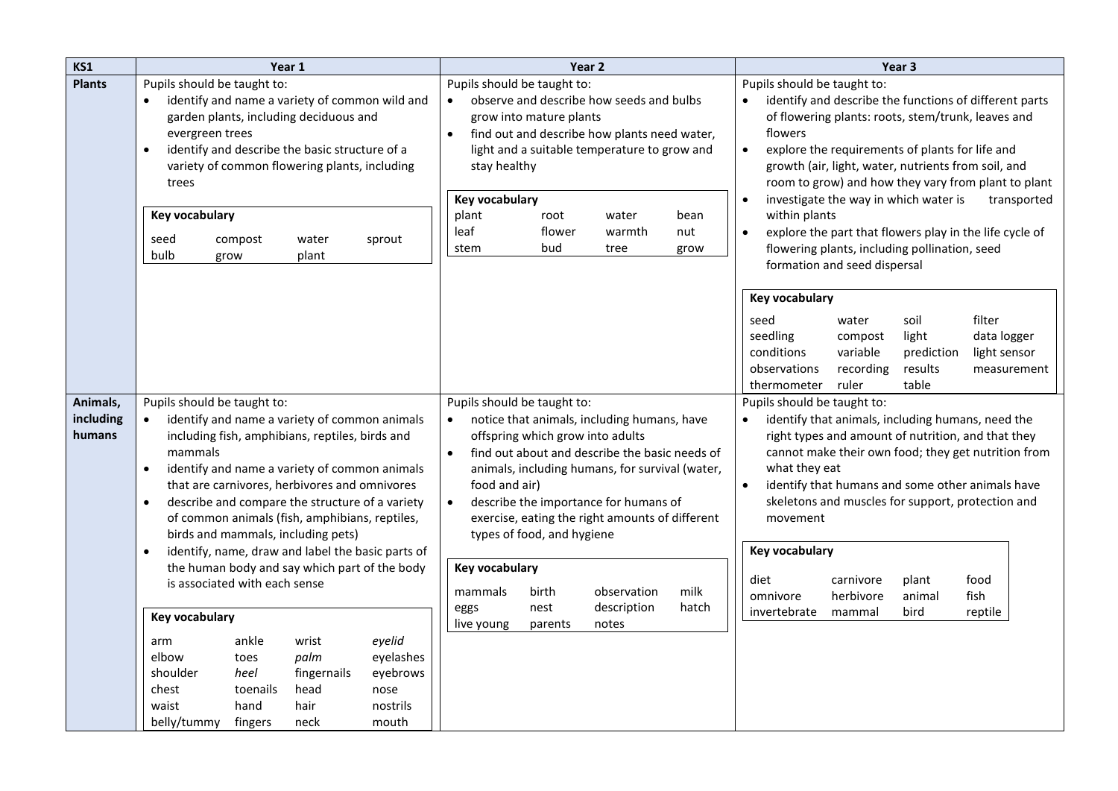| KS1                             | Year 1                                                                                                                                                                                                                                                                                                                                                                                                                         | Year 2                                                                                                                                                                                                                                                                                                                                                                                   | Year 3                                                                                                                                                                                                                                                                                                                                                                                                    |  |  |  |
|---------------------------------|--------------------------------------------------------------------------------------------------------------------------------------------------------------------------------------------------------------------------------------------------------------------------------------------------------------------------------------------------------------------------------------------------------------------------------|------------------------------------------------------------------------------------------------------------------------------------------------------------------------------------------------------------------------------------------------------------------------------------------------------------------------------------------------------------------------------------------|-----------------------------------------------------------------------------------------------------------------------------------------------------------------------------------------------------------------------------------------------------------------------------------------------------------------------------------------------------------------------------------------------------------|--|--|--|
| <b>Plants</b>                   | Pupils should be taught to:<br>identify and name a variety of common wild and<br>$\bullet$<br>garden plants, including deciduous and<br>evergreen trees<br>identify and describe the basic structure of a<br>$\bullet$<br>variety of common flowering plants, including<br>trees                                                                                                                                               | Pupils should be taught to:<br>observe and describe how seeds and bulbs<br>grow into mature plants<br>find out and describe how plants need water,<br>$\bullet$<br>light and a suitable temperature to grow and<br>stay healthy<br><b>Key vocabulary</b>                                                                                                                                 | Pupils should be taught to:<br>identify and describe the functions of different parts<br>$\bullet$<br>of flowering plants: roots, stem/trunk, leaves and<br>flowers<br>explore the requirements of plants for life and<br>$\bullet$<br>growth (air, light, water, nutrients from soil, and<br>room to grow) and how they vary from plant to plant<br>investigate the way in which water is<br>transported |  |  |  |
|                                 | <b>Key vocabulary</b><br>seed<br>compost<br>water<br>sprout<br>bulb<br>plant<br>grow                                                                                                                                                                                                                                                                                                                                           | plant<br>root<br>water<br>bean<br>leaf<br>flower<br>warmth<br>nut<br>bud<br>stem<br>tree<br>grow                                                                                                                                                                                                                                                                                         | within plants<br>explore the part that flowers play in the life cycle of<br>$\bullet$<br>flowering plants, including pollination, seed<br>formation and seed dispersal                                                                                                                                                                                                                                    |  |  |  |
|                                 |                                                                                                                                                                                                                                                                                                                                                                                                                                |                                                                                                                                                                                                                                                                                                                                                                                          | Key vocabulary<br>soil<br>filter<br>seed<br>water<br>light<br>data logger<br>seedling<br>compost<br>conditions<br>variable<br>light sensor<br>prediction<br>observations<br>recording<br>results<br>measurement<br>table<br>thermometer<br>ruler                                                                                                                                                          |  |  |  |
| Animals,<br>including<br>humans | Pupils should be taught to:<br>identify and name a variety of common animals<br>$\bullet$<br>including fish, amphibians, reptiles, birds and<br>mammals<br>identify and name a variety of common animals<br>$\bullet$<br>that are carnivores, herbivores and omnivores<br>describe and compare the structure of a variety<br>$\bullet$<br>of common animals (fish, amphibians, reptiles,<br>birds and mammals, including pets) | Pupils should be taught to:<br>notice that animals, including humans, have<br>offspring which grow into adults<br>find out about and describe the basic needs of<br>$\bullet$<br>animals, including humans, for survival (water,<br>food and air)<br>describe the importance for humans of<br>$\bullet$<br>exercise, eating the right amounts of different<br>types of food, and hygiene | Pupils should be taught to:<br>identify that animals, including humans, need the<br>right types and amount of nutrition, and that they<br>cannot make their own food; they get nutrition from<br>what they eat<br>identify that humans and some other animals have<br>skeletons and muscles for support, protection and<br>movement                                                                       |  |  |  |
|                                 | identify, name, draw and label the basic parts of<br>$\bullet$<br>the human body and say which part of the body<br>is associated with each sense                                                                                                                                                                                                                                                                               | <b>Key vocabulary</b><br>milk<br>mammals<br>birth<br>observation                                                                                                                                                                                                                                                                                                                         | Key vocabulary<br>diet<br>carnivore<br>food<br>plant<br>fish<br>animal<br>omnivore<br>herbivore                                                                                                                                                                                                                                                                                                           |  |  |  |
|                                 | <b>Key vocabulary</b><br>eyelid<br>ankle<br>wrist<br>arm<br>palm<br>eyelashes<br>elbow<br>toes<br>heel<br>shoulder<br>eyebrows<br>fingernails<br>chest<br>toenails<br>head<br>nose<br>hand<br>hair<br>nostrils<br>waist<br>belly/tummy<br>fingers<br>neck<br>mouth                                                                                                                                                             | description<br>hatch<br>nest<br>eggs<br>live young<br>notes<br>parents                                                                                                                                                                                                                                                                                                                   | invertebrate<br>bird<br>reptile<br>mammal                                                                                                                                                                                                                                                                                                                                                                 |  |  |  |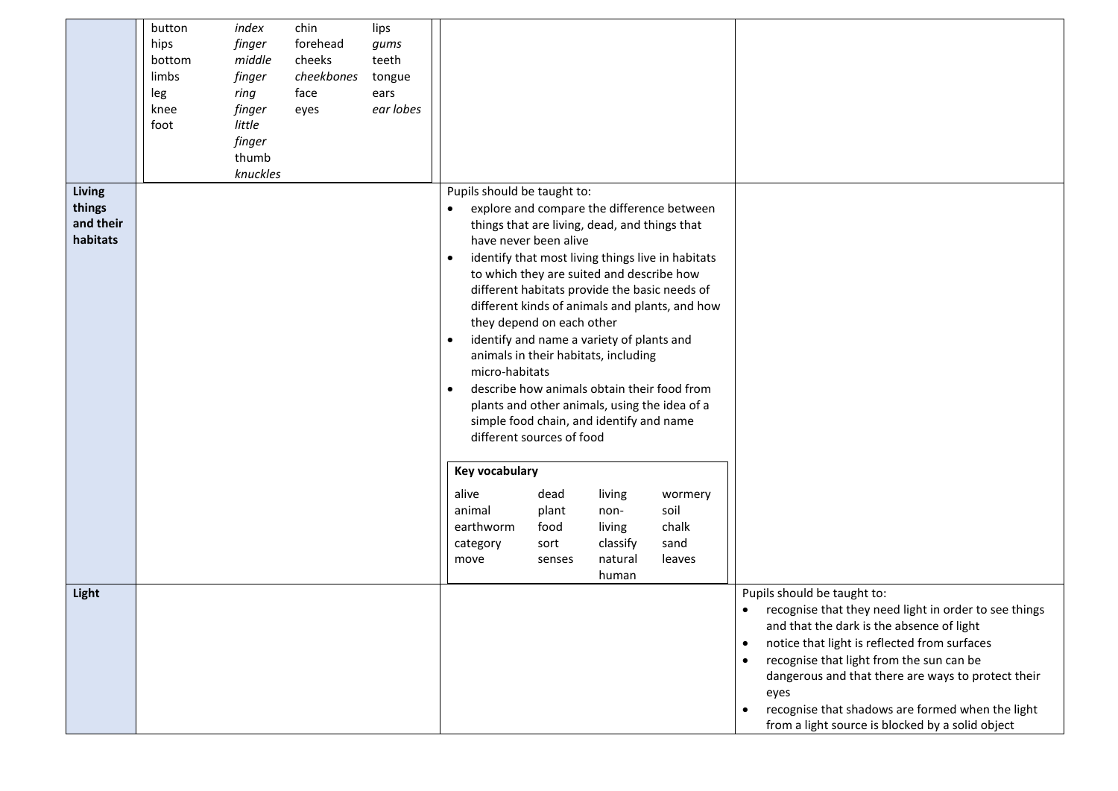|               | button<br>hips | index<br>finger   | chin<br>forehead   | lips<br>gums   |                             |                           |                                                                                   |                                                   |           |                                                                                                    |
|---------------|----------------|-------------------|--------------------|----------------|-----------------------------|---------------------------|-----------------------------------------------------------------------------------|---------------------------------------------------|-----------|----------------------------------------------------------------------------------------------------|
|               | bottom         | middle            | cheeks             | teeth          |                             |                           |                                                                                   |                                                   |           |                                                                                                    |
|               | limbs<br>leg   | finger<br>ring    | cheekbones<br>face | tongue<br>ears |                             |                           |                                                                                   |                                                   |           |                                                                                                    |
|               | knee           | finger            | eyes               | ear lobes      |                             |                           |                                                                                   |                                                   |           |                                                                                                    |
|               | foot           | little            |                    |                |                             |                           |                                                                                   |                                                   |           |                                                                                                    |
|               |                | finger            |                    |                |                             |                           |                                                                                   |                                                   |           |                                                                                                    |
|               |                | thumb<br>knuckles |                    |                |                             |                           |                                                                                   |                                                   |           |                                                                                                    |
| <b>Living</b> |                |                   |                    |                | Pupils should be taught to: |                           |                                                                                   |                                                   |           |                                                                                                    |
| things        |                |                   |                    |                | $\bullet$                   |                           |                                                                                   | explore and compare the difference between        |           |                                                                                                    |
| and their     |                |                   |                    |                |                             |                           | things that are living, dead, and things that                                     |                                                   |           |                                                                                                    |
| habitats      |                |                   |                    |                |                             | have never been alive     |                                                                                   |                                                   |           |                                                                                                    |
|               |                |                   |                    |                | $\bullet$                   |                           | to which they are suited and describe how                                         | identify that most living things live in habitats |           |                                                                                                    |
|               |                |                   |                    |                |                             |                           |                                                                                   | different habitats provide the basic needs of     |           |                                                                                                    |
|               |                |                   |                    |                |                             |                           |                                                                                   | different kinds of animals and plants, and how    |           |                                                                                                    |
|               |                |                   |                    |                |                             | they depend on each other |                                                                                   |                                                   |           |                                                                                                    |
|               |                |                   |                    |                | $\bullet$                   |                           | identify and name a variety of plants and<br>animals in their habitats, including |                                                   |           |                                                                                                    |
|               |                |                   |                    |                | micro-habitats              |                           |                                                                                   |                                                   |           |                                                                                                    |
|               |                |                   |                    |                | $\bullet$                   |                           |                                                                                   | describe how animals obtain their food from       |           |                                                                                                    |
|               |                |                   |                    |                |                             |                           | plants and other animals, using the idea of a                                     |                                                   |           |                                                                                                    |
|               |                |                   |                    |                |                             | different sources of food | simple food chain, and identify and name                                          |                                                   |           |                                                                                                    |
|               |                |                   |                    |                |                             |                           |                                                                                   |                                                   |           |                                                                                                    |
|               |                |                   |                    |                | <b>Key vocabulary</b>       |                           |                                                                                   |                                                   |           |                                                                                                    |
|               |                |                   |                    |                | alive                       | dead                      | living                                                                            | wormery                                           |           |                                                                                                    |
|               |                |                   |                    |                | animal<br>earthworm         | plant<br>food             | non-<br>living                                                                    | soil<br>chalk                                     |           |                                                                                                    |
|               |                |                   |                    |                | category                    | sort                      | classify                                                                          | sand                                              |           |                                                                                                    |
|               |                |                   |                    |                | move                        | senses                    | natural                                                                           | leaves                                            |           |                                                                                                    |
|               |                |                   |                    |                |                             |                           | human                                                                             |                                                   |           |                                                                                                    |
| Light         |                |                   |                    |                |                             |                           |                                                                                   |                                                   |           | Pupils should be taught to:                                                                        |
|               |                |                   |                    |                |                             |                           |                                                                                   |                                                   | $\bullet$ | recognise that they need light in order to see things<br>and that the dark is the absence of light |
|               |                |                   |                    |                |                             |                           |                                                                                   |                                                   | $\bullet$ | notice that light is reflected from surfaces                                                       |
|               |                |                   |                    |                |                             |                           |                                                                                   |                                                   | $\bullet$ | recognise that light from the sun can be                                                           |
|               |                |                   |                    |                |                             |                           |                                                                                   |                                                   |           | dangerous and that there are ways to protect their                                                 |
|               |                |                   |                    |                |                             |                           |                                                                                   |                                                   | $\bullet$ | eyes<br>recognise that shadows are formed when the light                                           |
|               |                |                   |                    |                |                             |                           |                                                                                   |                                                   |           | from a light source is blocked by a solid object                                                   |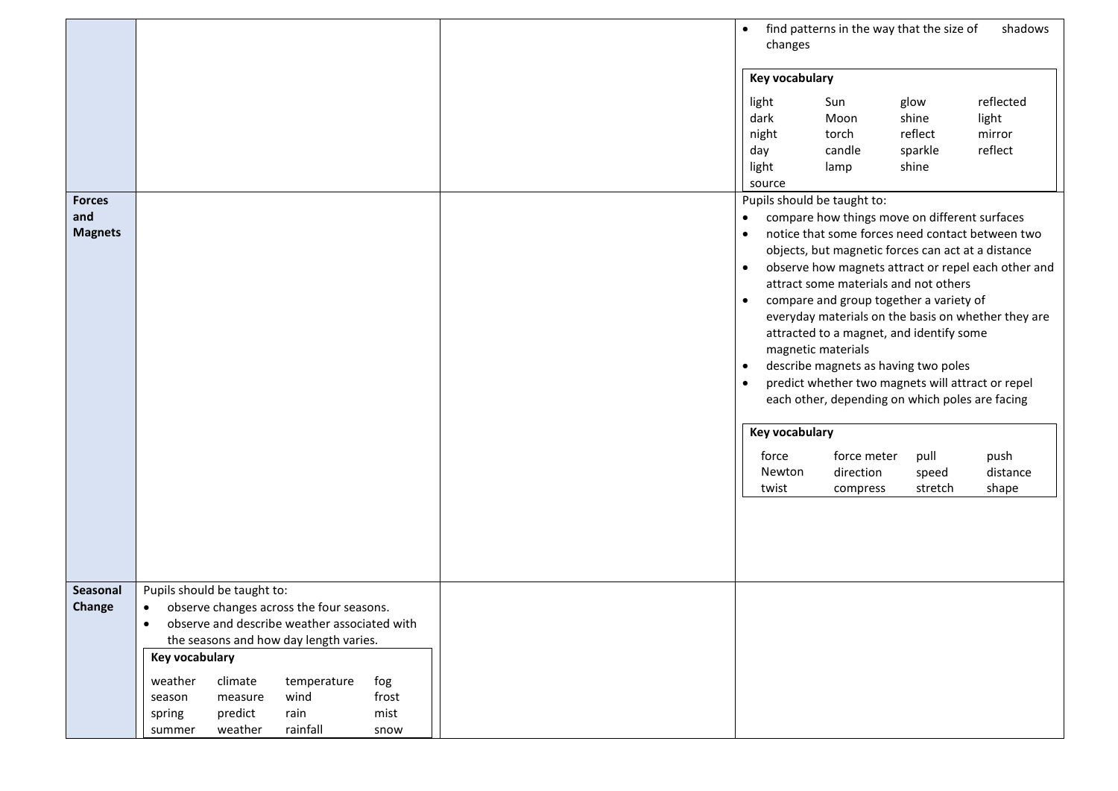|                |                                                           | find patterns in the way that the size of<br>shadows<br>$\bullet$<br>changes |                       |                                                    |         |                                                     |
|----------------|-----------------------------------------------------------|------------------------------------------------------------------------------|-----------------------|----------------------------------------------------|---------|-----------------------------------------------------|
|                |                                                           |                                                                              | <b>Key vocabulary</b> |                                                    |         |                                                     |
|                |                                                           | light                                                                        |                       | Sun                                                | glow    | reflected                                           |
|                |                                                           | dark                                                                         |                       | Moon                                               | shine   | light                                               |
|                |                                                           | night                                                                        |                       | torch                                              | reflect | mirror                                              |
|                |                                                           | day                                                                          |                       | candle                                             | sparkle | reflect                                             |
|                |                                                           | light                                                                        |                       | lamp                                               | shine   |                                                     |
|                |                                                           | source                                                                       |                       |                                                    |         |                                                     |
| <b>Forces</b>  |                                                           |                                                                              |                       | Pupils should be taught to:                        |         |                                                     |
| and            |                                                           | $\bullet$                                                                    |                       | compare how things move on different surfaces      |         |                                                     |
| <b>Magnets</b> |                                                           | $\bullet$                                                                    |                       | notice that some forces need contact between two   |         |                                                     |
|                |                                                           |                                                                              |                       | objects, but magnetic forces can act at a distance |         |                                                     |
|                |                                                           | $\bullet$                                                                    |                       |                                                    |         | observe how magnets attract or repel each other and |
|                |                                                           |                                                                              |                       | attract some materials and not others              |         |                                                     |
|                |                                                           |                                                                              |                       | compare and group together a variety of            |         |                                                     |
|                |                                                           |                                                                              |                       |                                                    |         | everyday materials on the basis on whether they are |
|                |                                                           |                                                                              |                       | attracted to a magnet, and identify some           |         |                                                     |
|                |                                                           |                                                                              | magnetic materials    |                                                    |         |                                                     |
|                |                                                           | $\bullet$                                                                    |                       | describe magnets as having two poles               |         |                                                     |
|                |                                                           | $\bullet$                                                                    |                       | predict whether two magnets will attract or repel  |         |                                                     |
|                |                                                           |                                                                              |                       | each other, depending on which poles are facing    |         |                                                     |
|                |                                                           |                                                                              |                       |                                                    |         |                                                     |
|                |                                                           |                                                                              | <b>Key vocabulary</b> |                                                    |         |                                                     |
|                |                                                           |                                                                              | force                 | force meter                                        | pull    | push                                                |
|                |                                                           |                                                                              | Newton                | direction                                          | speed   | distance                                            |
|                |                                                           |                                                                              | twist                 | compress                                           | stretch | shape                                               |
|                |                                                           |                                                                              |                       |                                                    |         |                                                     |
|                |                                                           |                                                                              |                       |                                                    |         |                                                     |
|                |                                                           |                                                                              |                       |                                                    |         |                                                     |
|                |                                                           |                                                                              |                       |                                                    |         |                                                     |
|                |                                                           |                                                                              |                       |                                                    |         |                                                     |
| Seasonal       | Pupils should be taught to:                               |                                                                              |                       |                                                    |         |                                                     |
| Change         | observe changes across the four seasons.<br>$\bullet$     |                                                                              |                       |                                                    |         |                                                     |
|                | observe and describe weather associated with<br>$\bullet$ |                                                                              |                       |                                                    |         |                                                     |
|                | the seasons and how day length varies.                    |                                                                              |                       |                                                    |         |                                                     |
|                | Key vocabulary                                            |                                                                              |                       |                                                    |         |                                                     |
|                |                                                           |                                                                              |                       |                                                    |         |                                                     |
|                | weather<br>climate<br>temperature<br>fog                  |                                                                              |                       |                                                    |         |                                                     |
|                | frost<br>wind<br>measure<br>season                        |                                                                              |                       |                                                    |         |                                                     |
|                | predict<br>rain<br>mist<br>spring                         |                                                                              |                       |                                                    |         |                                                     |
|                | weather<br>rainfall<br>summer<br>snow                     |                                                                              |                       |                                                    |         |                                                     |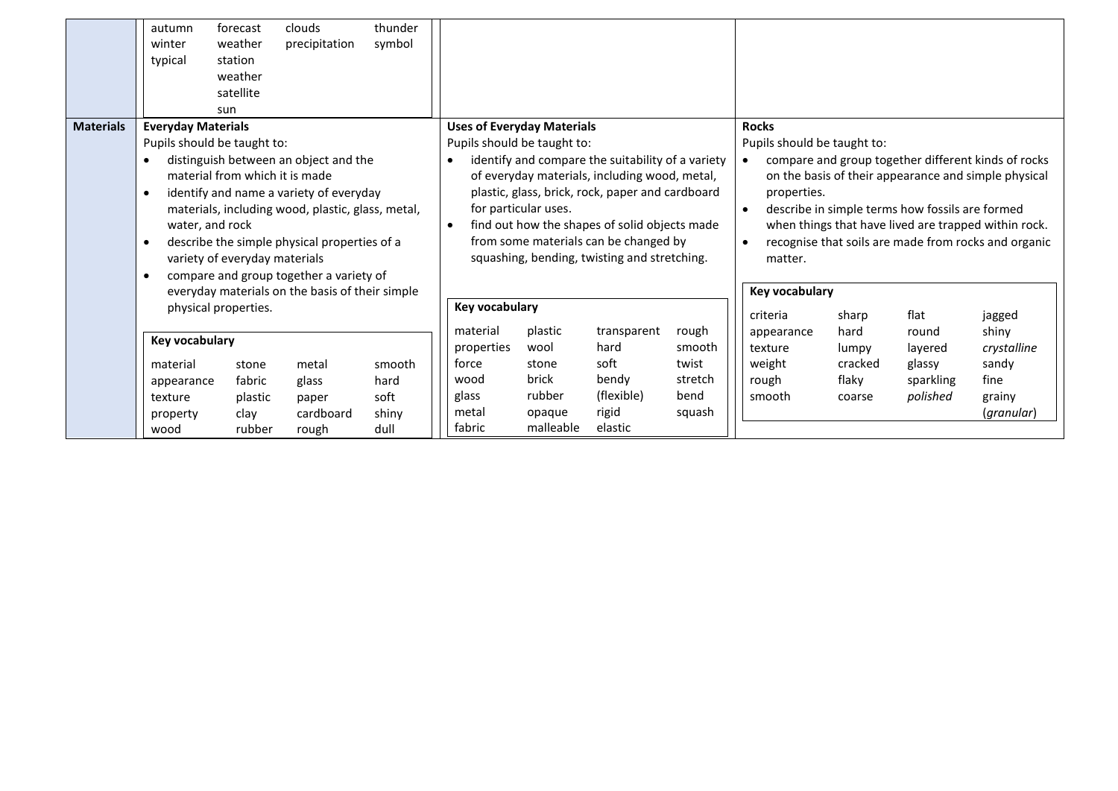|                  | autumn<br>winter<br>typical                                                                                                                                                                                                                                                                                                                                                     | forecast<br>weather<br>station<br>weather<br>satellite<br>sun | clouds<br>precipitation | thunder<br>symbol                        |                                   |                                                                                                                                                                                                                                                                                                  |                  |                                                                                                                                                                                                                                                                                                                                         |                                   |                  |                      |            |
|------------------|---------------------------------------------------------------------------------------------------------------------------------------------------------------------------------------------------------------------------------------------------------------------------------------------------------------------------------------------------------------------------------|---------------------------------------------------------------|-------------------------|------------------------------------------|-----------------------------------|--------------------------------------------------------------------------------------------------------------------------------------------------------------------------------------------------------------------------------------------------------------------------------------------------|------------------|-----------------------------------------------------------------------------------------------------------------------------------------------------------------------------------------------------------------------------------------------------------------------------------------------------------------------------------------|-----------------------------------|------------------|----------------------|------------|
| <b>Materials</b> | <b>Everyday Materials</b>                                                                                                                                                                                                                                                                                                                                                       |                                                               |                         |                                          | <b>Uses of Everyday Materials</b> |                                                                                                                                                                                                                                                                                                  |                  |                                                                                                                                                                                                                                                                                                                                         | <b>Rocks</b>                      |                  |                      |            |
|                  | Pupils should be taught to:<br>distinguish between an object and the<br>material from which it is made<br>identify and name a variety of everyday<br>materials, including wood, plastic, glass, metal,<br>water, and rock<br>describe the simple physical properties of a<br>$\bullet$<br>variety of everyday materials<br>compare and group together a variety of<br>$\bullet$ |                                                               |                         | Pupils should be taught to:<br>$\bullet$ | for particular uses.              | identify and compare the suitability of a variety<br>of everyday materials, including wood, metal,<br>plastic, glass, brick, rock, paper and cardboard<br>find out how the shapes of solid objects made<br>from some materials can be changed by<br>squashing, bending, twisting and stretching. |                  | Pupils should be taught to:<br>compare and group together different kinds of rocks<br>on the basis of their appearance and simple physical<br>properties.<br>describe in simple terms how fossils are formed<br>when things that have lived are trapped within rock.<br>recognise that soils are made from rocks and organic<br>matter. |                                   |                  |                      |            |
|                  | everyday materials on the basis of their simple<br>physical properties.                                                                                                                                                                                                                                                                                                         |                                                               |                         |                                          | Key vocabulary                    |                                                                                                                                                                                                                                                                                                  |                  |                                                                                                                                                                                                                                                                                                                                         | <b>Key vocabulary</b><br>criteria | sharp            | flat                 | jagged     |
|                  | <b>Key vocabulary</b>                                                                                                                                                                                                                                                                                                                                                           |                                                               |                         | material<br>properties                   | plastic<br>wool                   | transparent<br>hard                                                                                                                                                                                                                                                                              | rough<br>smooth  | appearance<br>texture                                                                                                                                                                                                                                                                                                                   | hard<br>lumpy                     | round<br>layered | shiny<br>crystalline |            |
|                  | material                                                                                                                                                                                                                                                                                                                                                                        | stone                                                         | metal                   | smooth                                   | force                             | stone                                                                                                                                                                                                                                                                                            | soft             | twist                                                                                                                                                                                                                                                                                                                                   | weight                            | cracked          | glassy               | sandy      |
|                  | appearance                                                                                                                                                                                                                                                                                                                                                                      | fabric                                                        | glass                   | hard                                     | wood                              | brick                                                                                                                                                                                                                                                                                            | bendy            | stretch                                                                                                                                                                                                                                                                                                                                 | rough                             | flaky            | sparkling            | fine       |
|                  | texture                                                                                                                                                                                                                                                                                                                                                                         | plastic                                                       | paper                   | soft                                     | glass                             | rubber                                                                                                                                                                                                                                                                                           | (flexible)       | bend                                                                                                                                                                                                                                                                                                                                    | smooth                            | coarse           | polished             | grainy     |
|                  | property<br>wood                                                                                                                                                                                                                                                                                                                                                                | clay<br>rubber                                                | cardboard<br>rough      | shiny<br>dull                            | metal<br>fabric                   | opaque<br>malleable                                                                                                                                                                                                                                                                              | rigid<br>elastic | squash                                                                                                                                                                                                                                                                                                                                  |                                   |                  |                      | (granular) |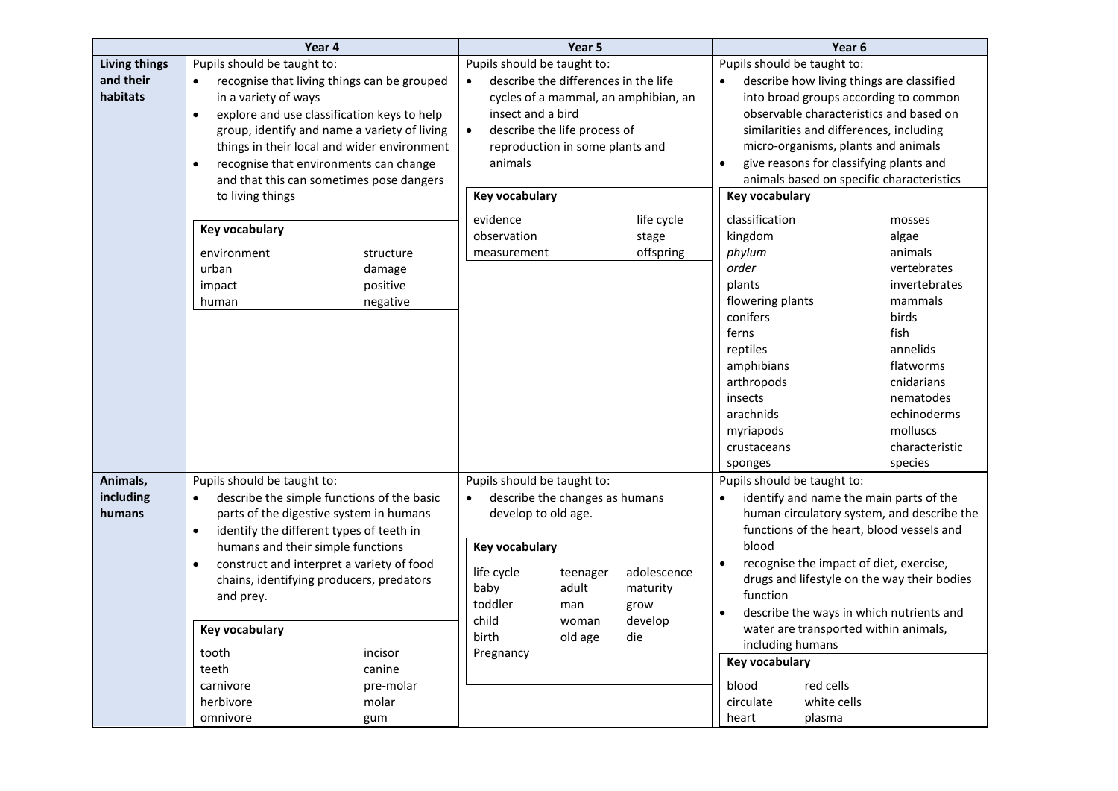| Pupils should be taught to:<br><b>Living things</b><br>and their<br>recognise that living things can be grouped<br>$\bullet$<br>habitats<br>in a variety of ways<br>explore and use classification keys to help<br>$\bullet$<br>group, identify and name a variety of living<br>things in their local and wider environment<br>recognise that environments can change<br>$\bullet$<br>and that this can sometimes pose dangers<br>to living things<br><b>Key vocabulary</b><br>environment<br>structure<br>urban<br>damage<br>positive<br>impact<br>negative<br>human<br>Pupils should be taught to:<br>Animals,<br>including<br>describe the simple functions of the basic<br>$\bullet$<br>humans<br>parts of the digestive system in humans<br>identify the different types of teeth in<br>$\bullet$<br>humans and their simple functions | $\bullet$<br>$\bullet$<br>animals<br>evidence<br>observation | Pupils should be taught to:<br>describe the differences in the life<br>cycles of a mammal, an amphibian, an<br>insect and a bird<br>describe the life process of<br>reproduction in some plants and<br><b>Key vocabulary</b><br>measurement | Pupils should be taught to:<br>describe how living things are classified<br>$\bullet$<br>into broad groups according to common<br>observable characteristics and based on<br>similarities and differences, including<br>micro-organisms, plants and animals<br>give reasons for classifying plants and<br>animals based on specific characteristics<br>Key vocabulary<br>classification<br>life cycle<br>kingdom<br>stage<br>offspring<br>phylum<br>order<br>plants<br>flowering plants                                   | mosses<br>algae<br>animals<br>vertebrates<br>invertebrates<br>mammals                                                     |
|---------------------------------------------------------------------------------------------------------------------------------------------------------------------------------------------------------------------------------------------------------------------------------------------------------------------------------------------------------------------------------------------------------------------------------------------------------------------------------------------------------------------------------------------------------------------------------------------------------------------------------------------------------------------------------------------------------------------------------------------------------------------------------------------------------------------------------------------|--------------------------------------------------------------|---------------------------------------------------------------------------------------------------------------------------------------------------------------------------------------------------------------------------------------------|---------------------------------------------------------------------------------------------------------------------------------------------------------------------------------------------------------------------------------------------------------------------------------------------------------------------------------------------------------------------------------------------------------------------------------------------------------------------------------------------------------------------------|---------------------------------------------------------------------------------------------------------------------------|
|                                                                                                                                                                                                                                                                                                                                                                                                                                                                                                                                                                                                                                                                                                                                                                                                                                             |                                                              |                                                                                                                                                                                                                                             |                                                                                                                                                                                                                                                                                                                                                                                                                                                                                                                           |                                                                                                                           |
|                                                                                                                                                                                                                                                                                                                                                                                                                                                                                                                                                                                                                                                                                                                                                                                                                                             |                                                              |                                                                                                                                                                                                                                             |                                                                                                                                                                                                                                                                                                                                                                                                                                                                                                                           |                                                                                                                           |
|                                                                                                                                                                                                                                                                                                                                                                                                                                                                                                                                                                                                                                                                                                                                                                                                                                             |                                                              |                                                                                                                                                                                                                                             |                                                                                                                                                                                                                                                                                                                                                                                                                                                                                                                           |                                                                                                                           |
|                                                                                                                                                                                                                                                                                                                                                                                                                                                                                                                                                                                                                                                                                                                                                                                                                                             |                                                              |                                                                                                                                                                                                                                             | conifers<br>ferns<br>reptiles<br>amphibians<br>arthropods<br>insects<br>arachnids<br>myriapods<br>crustaceans<br>sponges                                                                                                                                                                                                                                                                                                                                                                                                  | birds<br>fish<br>annelids<br>flatworms<br>cnidarians<br>nematodes<br>echinoderms<br>molluscs<br>characteristic<br>species |
| construct and interpret a variety of food<br>$\bullet$<br>chains, identifying producers, predators<br>and prey.<br><b>Key vocabulary</b><br>tooth<br>incisor<br>teeth<br>canine<br>carnivore<br>pre-molar<br>herbivore<br>molar                                                                                                                                                                                                                                                                                                                                                                                                                                                                                                                                                                                                             | $\bullet$<br>life cycle<br>baby<br>toddler<br>child<br>birth | Pupils should be taught to:<br>describe the changes as humans<br>develop to old age.<br>Key vocabulary<br>teenager<br>adult<br>grow<br>man<br>develop<br>woman<br>die<br>old age<br>Pregnancy                                               | Pupils should be taught to:<br>identify and name the main parts of the<br>$\bullet$<br>human circulatory system, and describe the<br>functions of the heart, blood vessels and<br>blood<br>recognise the impact of diet, exercise,<br>adolescence<br>drugs and lifestyle on the way their bodies<br>maturity<br>function<br>describe the ways in which nutrients and<br>$\bullet$<br>water are transported within animals,<br>including humans<br><b>Key vocabulary</b><br>blood<br>red cells<br>white cells<br>circulate |                                                                                                                           |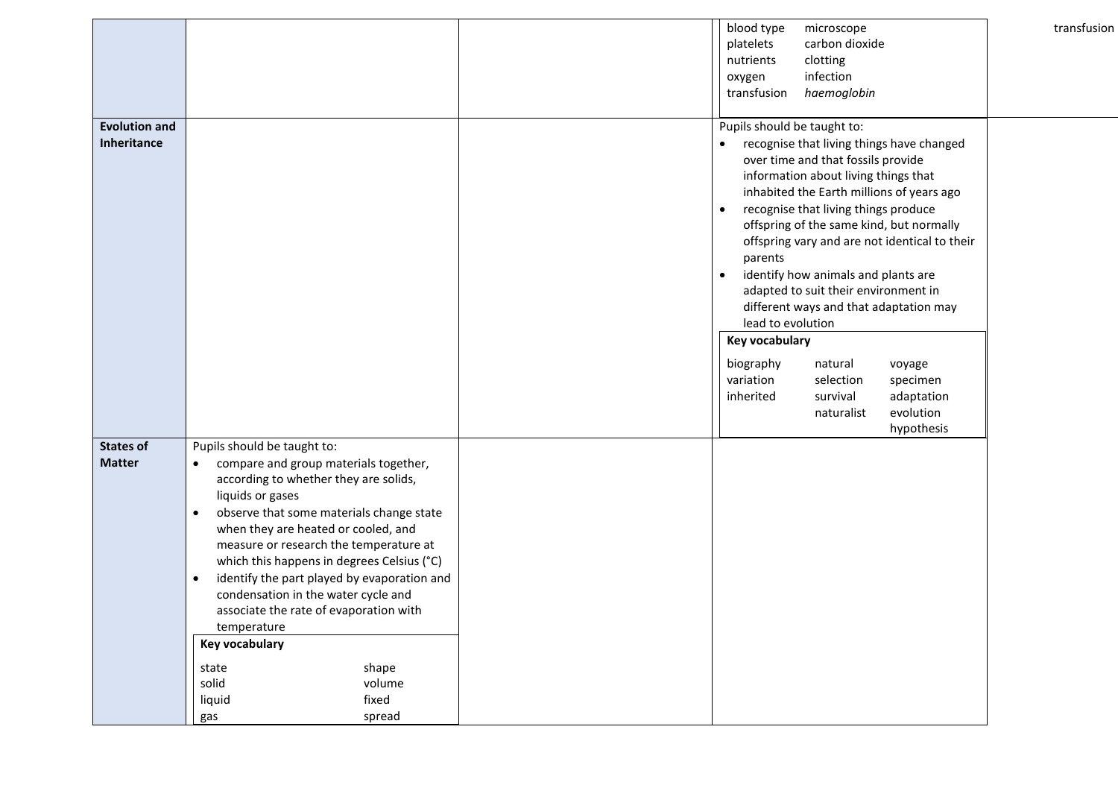|                                            |                                                                                                                                                                                                                                                                                                                                                                                                                                                                                                                                                                                                      | blood type<br>microscope<br>carbon dioxide<br>platelets<br>nutrients<br>clotting<br>infection<br>oxygen<br>transfusion<br>haemoglobin                                                                                                                                                                                                                                                                                                                                                                                                                                                                                                                                                                                     | transfusion |
|--------------------------------------------|------------------------------------------------------------------------------------------------------------------------------------------------------------------------------------------------------------------------------------------------------------------------------------------------------------------------------------------------------------------------------------------------------------------------------------------------------------------------------------------------------------------------------------------------------------------------------------------------------|---------------------------------------------------------------------------------------------------------------------------------------------------------------------------------------------------------------------------------------------------------------------------------------------------------------------------------------------------------------------------------------------------------------------------------------------------------------------------------------------------------------------------------------------------------------------------------------------------------------------------------------------------------------------------------------------------------------------------|-------------|
| <b>Evolution and</b><br><b>Inheritance</b> |                                                                                                                                                                                                                                                                                                                                                                                                                                                                                                                                                                                                      | Pupils should be taught to:<br>recognise that living things have changed<br>$\bullet$<br>over time and that fossils provide<br>information about living things that<br>inhabited the Earth millions of years ago<br>recognise that living things produce<br>$\bullet$<br>offspring of the same kind, but normally<br>offspring vary and are not identical to their<br>parents<br>identify how animals and plants are<br>$\bullet$<br>adapted to suit their environment in<br>different ways and that adaptation may<br>lead to evolution<br><b>Key vocabulary</b><br>biography<br>natural<br>voyage<br>variation<br>selection<br>specimen<br>inherited<br>survival<br>adaptation<br>evolution<br>naturalist<br>hypothesis |             |
| <b>States of</b><br><b>Matter</b>          | Pupils should be taught to:<br>compare and group materials together,<br>$\bullet$<br>according to whether they are solids,<br>liquids or gases<br>observe that some materials change state<br>$\bullet$<br>when they are heated or cooled, and<br>measure or research the temperature at<br>which this happens in degrees Celsius (°C)<br>identify the part played by evaporation and<br>$\bullet$<br>condensation in the water cycle and<br>associate the rate of evaporation with<br>temperature<br><b>Key vocabulary</b><br>state<br>shape<br>solid<br>volume<br>fixed<br>liquid<br>spread<br>gas |                                                                                                                                                                                                                                                                                                                                                                                                                                                                                                                                                                                                                                                                                                                           |             |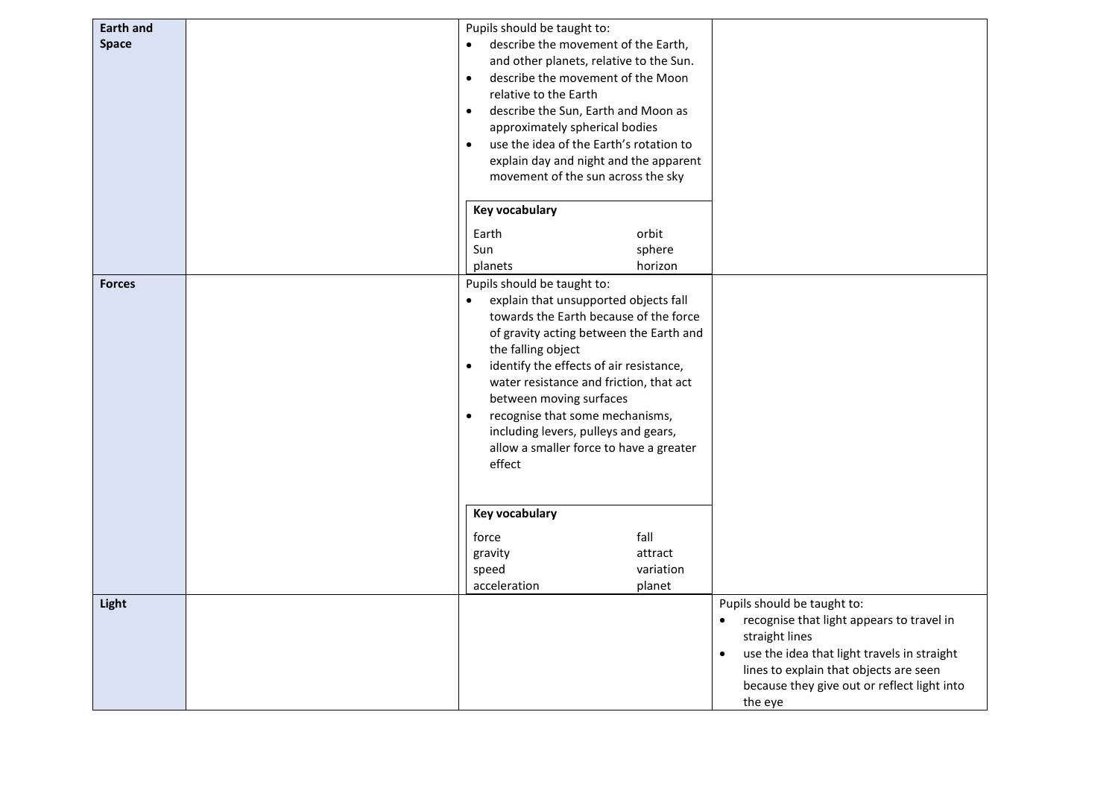| Earth and<br><b>Space</b> | Pupils should be taught to:<br>describe the movement of the Earth,<br>$\bullet$<br>and other planets, relative to the Sun.<br>describe the movement of the Moon<br>$\bullet$<br>relative to the Earth<br>describe the Sun, Earth and Moon as<br>$\bullet$<br>approximately spherical bodies<br>use the idea of the Earth's rotation to<br>$\bullet$<br>explain day and night and the apparent<br>movement of the sun across the sky                                                |                                |                                                                                                                                                                                                                                                                         |
|---------------------------|------------------------------------------------------------------------------------------------------------------------------------------------------------------------------------------------------------------------------------------------------------------------------------------------------------------------------------------------------------------------------------------------------------------------------------------------------------------------------------|--------------------------------|-------------------------------------------------------------------------------------------------------------------------------------------------------------------------------------------------------------------------------------------------------------------------|
|                           | <b>Key vocabulary</b>                                                                                                                                                                                                                                                                                                                                                                                                                                                              |                                |                                                                                                                                                                                                                                                                         |
|                           | Earth<br>Sun                                                                                                                                                                                                                                                                                                                                                                                                                                                                       | orbit<br>sphere                |                                                                                                                                                                                                                                                                         |
| <b>Forces</b>             | planets<br>Pupils should be taught to:<br>explain that unsupported objects fall<br>$\bullet$<br>towards the Earth because of the force<br>of gravity acting between the Earth and<br>the falling object<br>identify the effects of air resistance,<br>$\bullet$<br>water resistance and friction, that act<br>between moving surfaces<br>recognise that some mechanisms,<br>$\bullet$<br>including levers, pulleys and gears,<br>allow a smaller force to have a greater<br>effect | horizon                        |                                                                                                                                                                                                                                                                         |
|                           | <b>Key vocabulary</b>                                                                                                                                                                                                                                                                                                                                                                                                                                                              | fall                           |                                                                                                                                                                                                                                                                         |
|                           | force<br>gravity<br>speed<br>acceleration                                                                                                                                                                                                                                                                                                                                                                                                                                          | attract<br>variation<br>planet |                                                                                                                                                                                                                                                                         |
| Light                     |                                                                                                                                                                                                                                                                                                                                                                                                                                                                                    |                                | Pupils should be taught to:<br>recognise that light appears to travel in<br>$\bullet$<br>straight lines<br>use the idea that light travels in straight<br>$\bullet$<br>lines to explain that objects are seen<br>because they give out or reflect light into<br>the eye |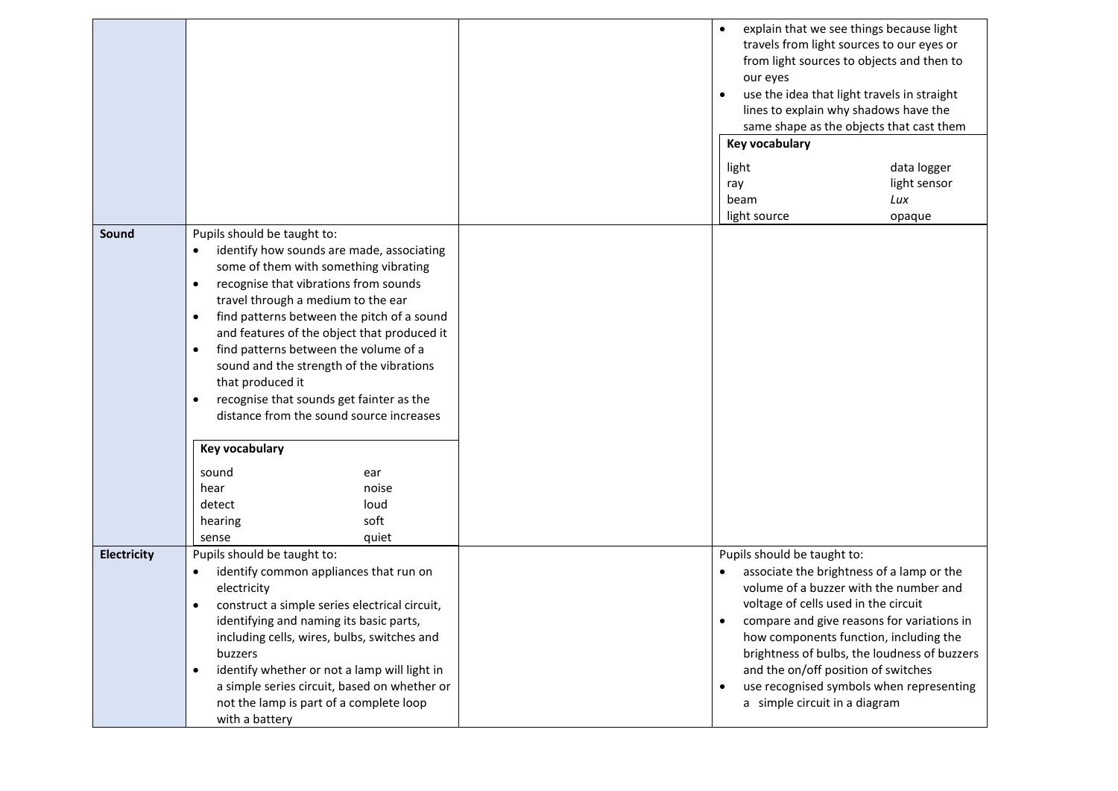|             |                                                                                                   | explain that we see things because light<br>$\bullet$<br>travels from light sources to our eyes or |
|-------------|---------------------------------------------------------------------------------------------------|----------------------------------------------------------------------------------------------------|
|             |                                                                                                   | from light sources to objects and then to                                                          |
|             |                                                                                                   | our eyes<br>use the idea that light travels in straight<br>$\bullet$                               |
|             |                                                                                                   | lines to explain why shadows have the                                                              |
|             |                                                                                                   | same shape as the objects that cast them                                                           |
|             |                                                                                                   | <b>Key vocabulary</b>                                                                              |
|             |                                                                                                   | light<br>data logger                                                                               |
|             |                                                                                                   | light sensor<br>ray                                                                                |
|             |                                                                                                   | beam<br>Lux                                                                                        |
|             |                                                                                                   | light source<br>opaque                                                                             |
| Sound       | Pupils should be taught to:                                                                       |                                                                                                    |
|             | identify how sounds are made, associating<br>$\bullet$                                            |                                                                                                    |
|             | some of them with something vibrating                                                             |                                                                                                    |
|             | recognise that vibrations from sounds<br>$\bullet$                                                |                                                                                                    |
|             | travel through a medium to the ear                                                                |                                                                                                    |
|             | find patterns between the pitch of a sound<br>$\bullet$                                           |                                                                                                    |
|             | and features of the object that produced it<br>find patterns between the volume of a<br>$\bullet$ |                                                                                                    |
|             | sound and the strength of the vibrations                                                          |                                                                                                    |
|             | that produced it                                                                                  |                                                                                                    |
|             | recognise that sounds get fainter as the<br>$\bullet$                                             |                                                                                                    |
|             | distance from the sound source increases                                                          |                                                                                                    |
|             |                                                                                                   |                                                                                                    |
|             | Key vocabulary                                                                                    |                                                                                                    |
|             | sound<br>ear                                                                                      |                                                                                                    |
|             | hear<br>noise                                                                                     |                                                                                                    |
|             | detect<br>loud                                                                                    |                                                                                                    |
|             | soft<br>hearing                                                                                   |                                                                                                    |
|             | sense<br>quiet                                                                                    |                                                                                                    |
| Electricity | Pupils should be taught to:<br>identify common appliances that run on                             | Pupils should be taught to:                                                                        |
|             | $\bullet$<br>electricity                                                                          | associate the brightness of a lamp or the<br>$\bullet$<br>volume of a buzzer with the number and   |
|             | construct a simple series electrical circuit,<br>$\bullet$                                        | voltage of cells used in the circuit                                                               |
|             | identifying and naming its basic parts,                                                           | compare and give reasons for variations in<br>$\bullet$                                            |
|             | including cells, wires, bulbs, switches and                                                       | how components function, including the                                                             |
|             | buzzers                                                                                           | brightness of bulbs, the loudness of buzzers                                                       |
|             | identify whether or not a lamp will light in<br>$\bullet$                                         | and the on/off position of switches                                                                |
|             | a simple series circuit, based on whether or                                                      | use recognised symbols when representing                                                           |
|             | not the lamp is part of a complete loop                                                           | a simple circuit in a diagram                                                                      |
|             | with a battery                                                                                    |                                                                                                    |